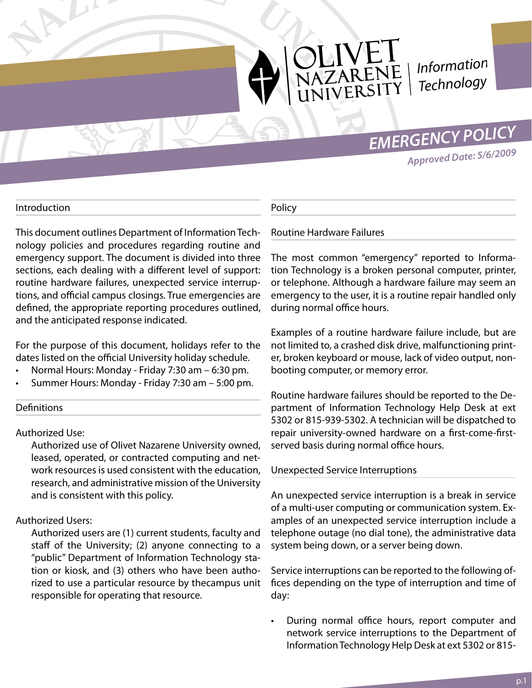

NEI<br>ARENE<br>ERSITY *Information Technology*

## *EMERGENCY POLICY*

*Approved Date: 5/6/2009*

#### Introduction

This document outlines Department of Information Technology policies and procedures regarding routine and emergency support. The document is divided into three sections, each dealing with a different level of support: routine hardware failures, unexpected service interruptions, and official campus closings. True emergencies are defined, the appropriate reporting procedures outlined, and the anticipated response indicated.

For the purpose of this document, holidays refer to the dates listed on the official University holiday schedule.

- Normal Hours: Monday Friday 7:30 am 6:30 pm.
- Summer Hours: Monday Friday 7:30 am 5:00 pm.

#### **Definitions**

Authorized Use:

Authorized use of Olivet Nazarene University owned, leased, operated, or contracted computing and network resources is used consistent with the education, research, and administrative mission of the University and is consistent with this policy.

#### Authorized Users:

Authorized users are (1) current students, faculty and staff of the University; (2) anyone connecting to a "public" Department of Information Technology station or kiosk, and (3) others who have been authorized to use a particular resource by thecampus unit responsible for operating that resource.

#### Policy

#### Routine Hardware Failures

The most common "emergency" reported to Information Technology is a broken personal computer, printer, or telephone. Although a hardware failure may seem an emergency to the user, it is a routine repair handled only during normal office hours.

Examples of a routine hardware failure include, but are not limited to, a crashed disk drive, malfunctioning printer, broken keyboard or mouse, lack of video output, nonbooting computer, or memory error.

Routine hardware failures should be reported to the Department of Information Technology Help Desk at ext 5302 or 815-939-5302. A technician will be dispatched to repair university-owned hardware on a first-come-firstserved basis during normal office hours.

#### Unexpected Service Interruptions

An unexpected service interruption is a break in service of a multi-user computing or communication system. Examples of an unexpected service interruption include a telephone outage (no dial tone), the administrative data system being down, or a server being down.

Service interruptions can be reported to the following offices depending on the type of interruption and time of day:

• During normal office hours, report computer and network service interruptions to the Department of Information Technology Help Desk at ext 5302 or 815